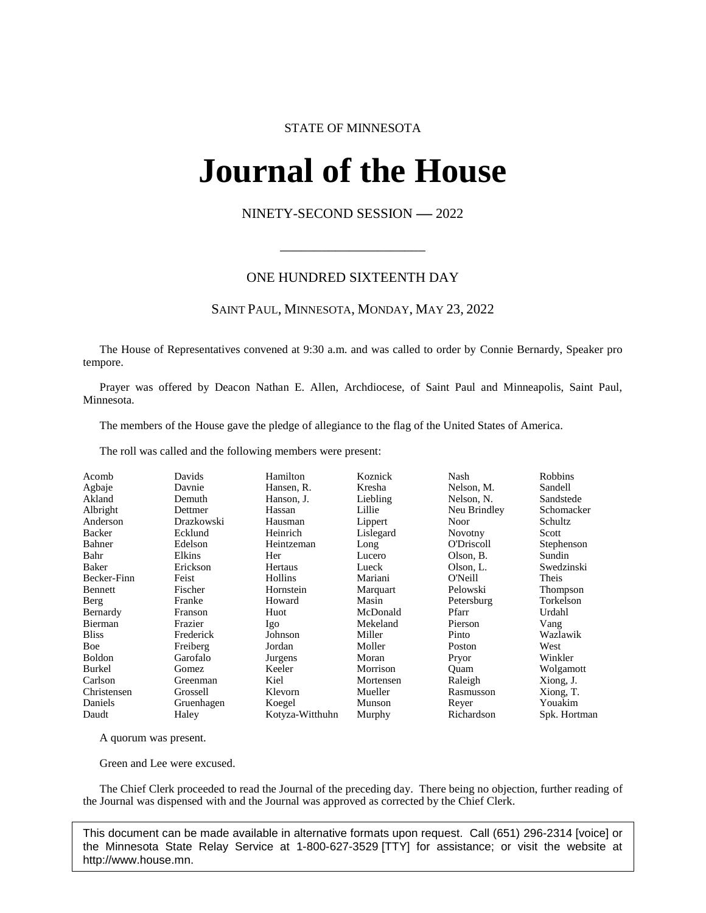# STATE OF MINNESOTA

# **Journal of the House IFINAL OL UNE FIOI**<br>NINETY-SECOND SESSION -- 2022

\_\_\_\_\_\_\_\_\_\_\_\_\_\_\_\_\_\_\_\_\_

## ONE HUNDRED SIXTEENTH DAY

#### SAINT PAUL, MINNESOTA, MONDAY, MAY 23, 2022

The House of Representatives convened at 9:30 a.m. and was called to order by Connie Bernardy, Speaker pro tempore.

Prayer was offered by Deacon Nathan E. Allen, Archdiocese, of Saint Paul and Minneapolis, Saint Paul, Minnesota.

The members of the House gave the pledge of allegiance to the flag of the United States of America.

The roll was called and the following members were present:

| Acomb         | Davids     | Hamilton        | Koznick   | Nash              | <b>Robbins</b> |
|---------------|------------|-----------------|-----------|-------------------|----------------|
| Agbaje        | Davnie     | Hansen, R.      | Kresha    | Nelson, M.        | Sandell        |
| Akland        | Demuth     | Hanson, J.      | Liebling  | Nelson, N.        | Sandstede      |
| Albright      | Dettmer    | Hassan          | Lillie    | Neu Brindley      | Schomacker     |
| Anderson      | Drazkowski | Hausman         | Lippert   | Noor              | Schultz        |
| <b>Backer</b> | Ecklund    | Heinrich        | Lislegard | <b>Novotny</b>    | Scott          |
| Bahner        | Edelson    | Heintzeman      | Long      | <b>O'Driscoll</b> | Stephenson     |
| Bahr          | Elkins     | Her             | Lucero    | Olson, B.         | Sundin         |
| Baker         | Erickson   | Hertaus         | Lueck     | Olson, L.         | Swedzinski     |
| Becker-Finn   | Feist      | Hollins         | Mariani   | O'Neill           | Theis          |
| Bennett       | Fischer    | Hornstein       | Marquart  | Pelowski          | Thompson       |
| Berg          | Franke     | Howard          | Masin     | Petersburg        | Torkelson      |
| Bernardy      | Franson    | Huot            | McDonald  | Pfarr             | Urdahl         |
| Bierman       | Frazier    | Igo             | Mekeland  | Pierson           | Vang           |
| <b>Bliss</b>  | Frederick  | Johnson         | Miller    | Pinto             | Wazlawik       |
| Boe           | Freiberg   | Jordan          | Moller    | Poston            | West           |
| <b>Boldon</b> | Garofalo   | Jurgens         | Moran     | Pryor             | Winkler        |
| Burkel        | Gomez      | Keeler          | Morrison  | Ouam              | Wolgamott      |
| Carlson       | Greenman   | Kiel            | Mortensen | Raleigh           | Xiong, J.      |
| Christensen   | Grossell   | Klevorn         | Mueller   | Rasmusson         | Xiong, T.      |
| Daniels       | Gruenhagen | Koegel          | Munson    | Reyer             | Youakim        |
| Daudt         | Haley      | Kotyza-Witthuhn | Murphy    | Richardson        | Spk. Hortman   |

A quorum was present.

Green and Lee were excused.

The Chief Clerk proceeded to read the Journal of the preceding day. There being no objection, further reading of the Journal was dispensed with and the Journal was approved as corrected by the Chief Clerk.

This document can be made available in alternative formats upon request. Call (651) 296-2314 [voice] or the Minnesota State Relay Service at 1-800-627-3529 [TTY] for assistance; or visit the website at http://www.house.mn.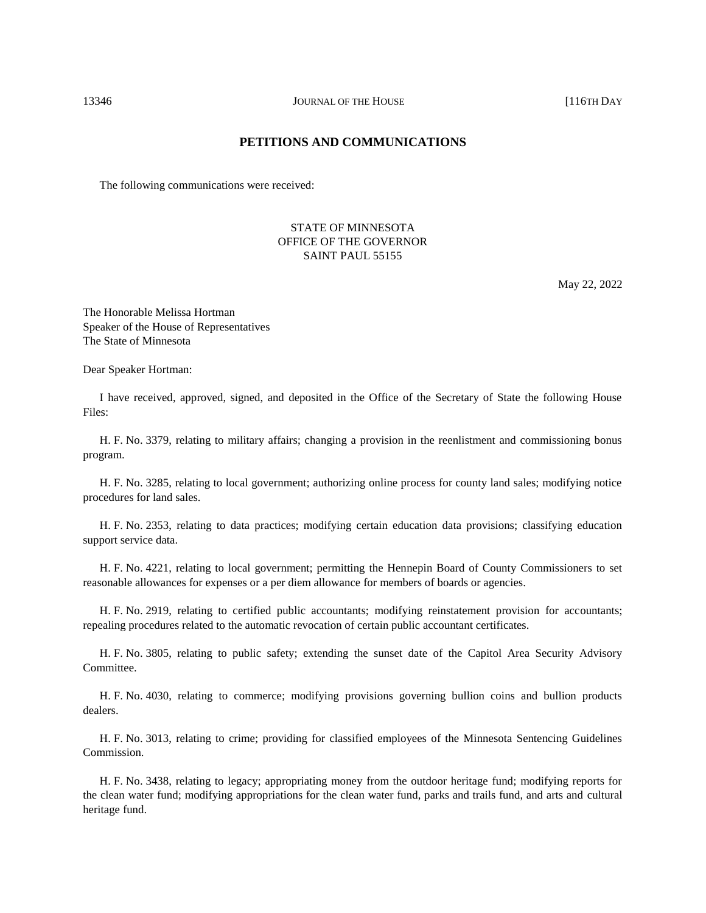# **PETITIONS AND COMMUNICATIONS**

The following communications were received:

### STATE OF MINNESOTA OFFICE OF THE GOVERNOR SAINT PAUL 55155

May 22, 2022

The Honorable Melissa Hortman Speaker of the House of Representatives The State of Minnesota

Dear Speaker Hortman:

I have received, approved, signed, and deposited in the Office of the Secretary of State the following House Files:

H. F. No. 3379, relating to military affairs; changing a provision in the reenlistment and commissioning bonus program.

H. F. No. 3285, relating to local government; authorizing online process for county land sales; modifying notice procedures for land sales.

H. F. No. 2353, relating to data practices; modifying certain education data provisions; classifying education support service data.

H. F. No. 4221, relating to local government; permitting the Hennepin Board of County Commissioners to set reasonable allowances for expenses or a per diem allowance for members of boards or agencies.

H. F. No. 2919, relating to certified public accountants; modifying reinstatement provision for accountants; repealing procedures related to the automatic revocation of certain public accountant certificates.

H. F. No. 3805, relating to public safety; extending the sunset date of the Capitol Area Security Advisory Committee.

H. F. No. 4030, relating to commerce; modifying provisions governing bullion coins and bullion products dealers.

H. F. No. 3013, relating to crime; providing for classified employees of the Minnesota Sentencing Guidelines Commission.

H. F. No. 3438, relating to legacy; appropriating money from the outdoor heritage fund; modifying reports for the clean water fund; modifying appropriations for the clean water fund, parks and trails fund, and arts and cultural heritage fund.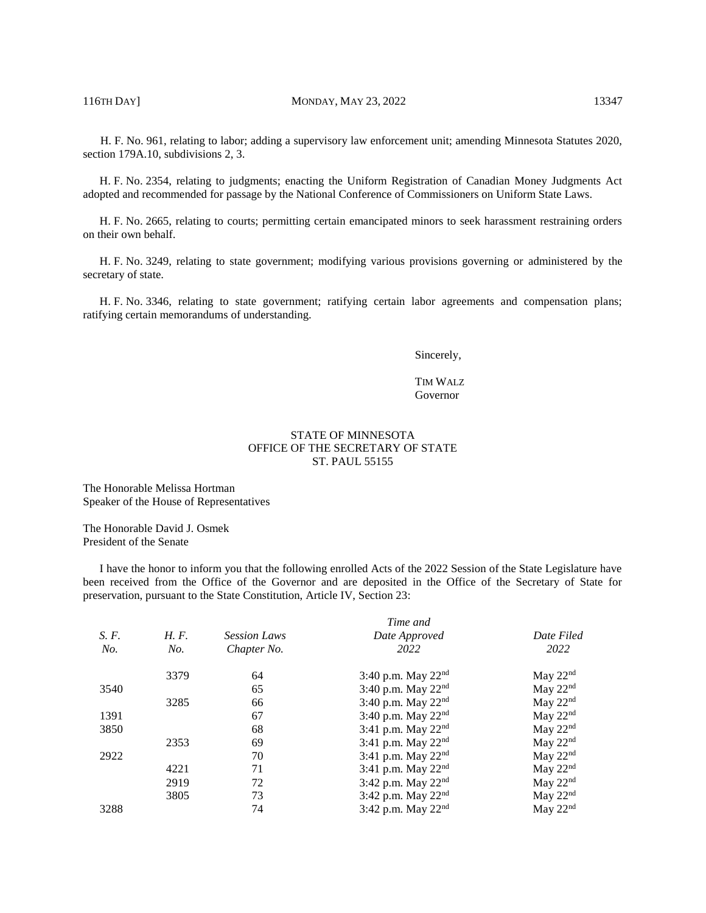H. F. No. 961, relating to labor; adding a supervisory law enforcement unit; amending Minnesota Statutes 2020, section 179A.10, subdivisions 2, 3.

H. F. No. 2354, relating to judgments; enacting the Uniform Registration of Canadian Money Judgments Act adopted and recommended for passage by the National Conference of Commissioners on Uniform State Laws.

H. F. No. 2665, relating to courts; permitting certain emancipated minors to seek harassment restraining orders on their own behalf.

H. F. No. 3249, relating to state government; modifying various provisions governing or administered by the secretary of state.

H. F. No. 3346, relating to state government; ratifying certain labor agreements and compensation plans; ratifying certain memorandums of understanding.

Sincerely,

#### TIM WALZ Governor

#### STATE OF MINNESOTA OFFICE OF THE SECRETARY OF STATE ST. PAUL 55155

The Honorable Melissa Hortman Speaker of the House of Representatives

The Honorable David J. Osmek President of the Senate

I have the honor to inform you that the following enrolled Acts of the 2022 Session of the State Legislature have been received from the Office of the Governor and are deposited in the Office of the Secretary of State for preservation, pursuant to the State Constitution, Article IV, Section 23:

|       |      | Time and            |                                |            |  |
|-------|------|---------------------|--------------------------------|------------|--|
| S. F. | H.F. | <b>Session Laws</b> | Date Approved                  | Date Filed |  |
| No.   | No.  | Chapter No.         | 2022                           | 2022       |  |
|       | 3379 | 64                  | 3:40 p.m. May $22^{nd}$        | May $22nd$ |  |
| 3540  |      | 65                  | 3:40 p.m. May $22^{nd}$        | May $22nd$ |  |
|       | 3285 | 66                  | 3:40 p.m. May $22^{nd}$        | May $22nd$ |  |
| 1391  |      | 67                  | 3:40 p.m. May $22^{nd}$        | May $22nd$ |  |
| 3850  |      | 68                  | 3:41 p.m. May $22^{nd}$        | May $22nd$ |  |
|       | 2353 | 69                  | 3:41 p.m. May $22^{nd}$        | May $22nd$ |  |
| 2922  |      | 70                  | 3:41 p.m. May $22^{nd}$        | May $22nd$ |  |
|       | 4221 | 71                  | 3:41 p.m. May 22 <sup>nd</sup> | May $22nd$ |  |
|       | 2919 | 72                  | 3:42 p.m. May 22 <sup>nd</sup> | May $22nd$ |  |
|       | 3805 | 73                  | 3:42 p.m. May 22 <sup>nd</sup> | May $22nd$ |  |
| 3288  |      | 74                  | $3:42$ p.m. May $22nd$         | May $22nd$ |  |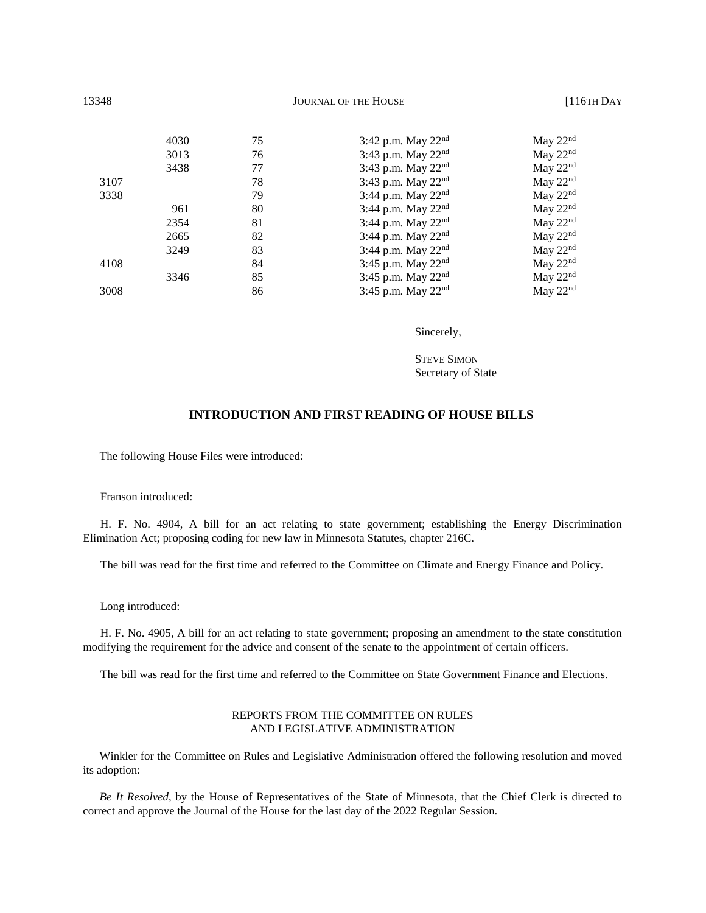| 13348 | <b>JOURNAL OF THE HOUSE</b> |    |                                | $[116TH$ DAY         |  |
|-------|-----------------------------|----|--------------------------------|----------------------|--|
|       | 4030                        | 75 | 3:42 p.m. May $22^{nd}$        | May $22nd$           |  |
|       | 3013                        | 76 | 3:43 p.m. May $22^{nd}$        | May $22nd$           |  |
|       | 3438                        | 77 | 3:43 p.m. May 22 <sup>nd</sup> | May $22nd$           |  |
| 3107  |                             | 78 | 3:43 p.m. May $22^{nd}$        | May $22nd$           |  |
| 3338  |                             | 79 | 3:44 p.m. May 22 <sup>nd</sup> | May $22nd$           |  |
|       | 961                         | 80 | 3:44 p.m. May $22^{nd}$        | May $22nd$           |  |
|       | 2354                        | 81 | 3:44 p.m. May 22 <sup>nd</sup> | May $22nd$           |  |
|       | 2665                        | 82 | 3:44 p.m. May $22^{nd}$        | May $22nd$           |  |
|       | 3249                        | 83 | 3:44 p.m. May $22^{nd}$        | May $22nd$           |  |
| 4108  |                             | 84 | 3:45 p.m. May $22^{nd}$        | May $22nd$           |  |
|       | 3346                        | 85 | 3:45 p.m. May $22^{nd}$        | May 22 <sup>nd</sup> |  |
| 3008  |                             | 86 | 3:45 p.m. May $22nd$           | May $22nd$           |  |

Sincerely,

STEVE SIMON Secretary of State

## **INTRODUCTION AND FIRST READING OF HOUSE BILLS**

The following House Files were introduced:

Franson introduced:

H. F. No. 4904, A bill for an act relating to state government; establishing the Energy Discrimination Elimination Act; proposing coding for new law in Minnesota Statutes, chapter 216C.

The bill was read for the first time and referred to the Committee on Climate and Energy Finance and Policy.

Long introduced:

H. F. No. 4905, A bill for an act relating to state government; proposing an amendment to the state constitution modifying the requirement for the advice and consent of the senate to the appointment of certain officers.

The bill was read for the first time and referred to the Committee on State Government Finance and Elections.

#### REPORTS FROM THE COMMITTEE ON RULES AND LEGISLATIVE ADMINISTRATION

Winkler for the Committee on Rules and Legislative Administration offered the following resolution and moved its adoption:

*Be It Resolved*, by the House of Representatives of the State of Minnesota, that the Chief Clerk is directed to correct and approve the Journal of the House for the last day of the 2022 Regular Session.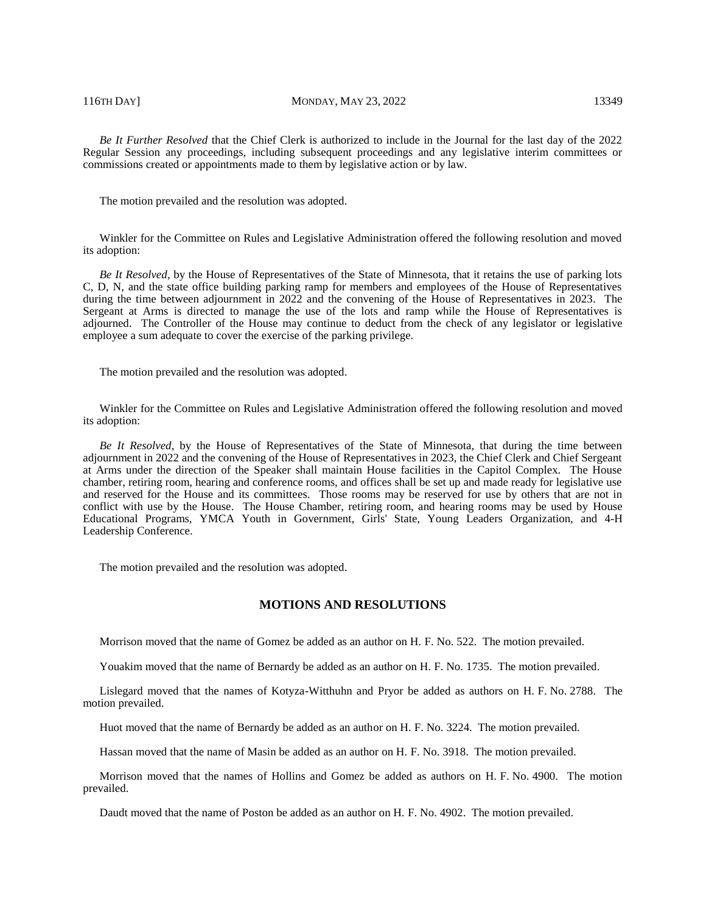116TH DAY] MONDAY, MAY 23, 2022 13349

*Be It Further Resolved* that the Chief Clerk is authorized to include in the Journal for the last day of the 2022 Regular Session any proceedings, including subsequent proceedings and any legislative interim committees or commissions created or appointments made to them by legislative action or by law.

The motion prevailed and the resolution was adopted.

Winkler for the Committee on Rules and Legislative Administration offered the following resolution and moved its adoption:

*Be It Resolved*, by the House of Representatives of the State of Minnesota, that it retains the use of parking lots C, D, N, and the state office building parking ramp for members and employees of the House of Representatives during the time between adjournment in 2022 and the convening of the House of Representatives in 2023. The Sergeant at Arms is directed to manage the use of the lots and ramp while the House of Representatives is adjourned. The Controller of the House may continue to deduct from the check of any legislator or legislative employee a sum adequate to cover the exercise of the parking privilege.

The motion prevailed and the resolution was adopted.

Winkler for the Committee on Rules and Legislative Administration offered the following resolution and moved its adoption:

*Be It Resolved*, by the House of Representatives of the State of Minnesota, that during the time between adjournment in 2022 and the convening of the House of Representatives in 2023, the Chief Clerk and Chief Sergeant at Arms under the direction of the Speaker shall maintain House facilities in the Capitol Complex. The House chamber, retiring room, hearing and conference rooms, and offices shall be set up and made ready for legislative use and reserved for the House and its committees. Those rooms may be reserved for use by others that are not in conflict with use by the House. The House Chamber, retiring room, and hearing rooms may be used by House Educational Programs, YMCA Youth in Government, Girls' State, Young Leaders Organization, and 4-H Leadership Conference.

The motion prevailed and the resolution was adopted.

#### **MOTIONS AND RESOLUTIONS**

Morrison moved that the name of Gomez be added as an author on H. F. No. 522. The motion prevailed.

Youakim moved that the name of Bernardy be added as an author on H. F. No. 1735. The motion prevailed.

Lislegard moved that the names of Kotyza-Witthuhn and Pryor be added as authors on H. F. No. 2788. The motion prevailed.

Huot moved that the name of Bernardy be added as an author on H. F. No. 3224. The motion prevailed.

Hassan moved that the name of Masin be added as an author on H. F. No. 3918. The motion prevailed.

Morrison moved that the names of Hollins and Gomez be added as authors on H. F. No. 4900. The motion prevailed.

Daudt moved that the name of Poston be added as an author on H. F. No. 4902. The motion prevailed.